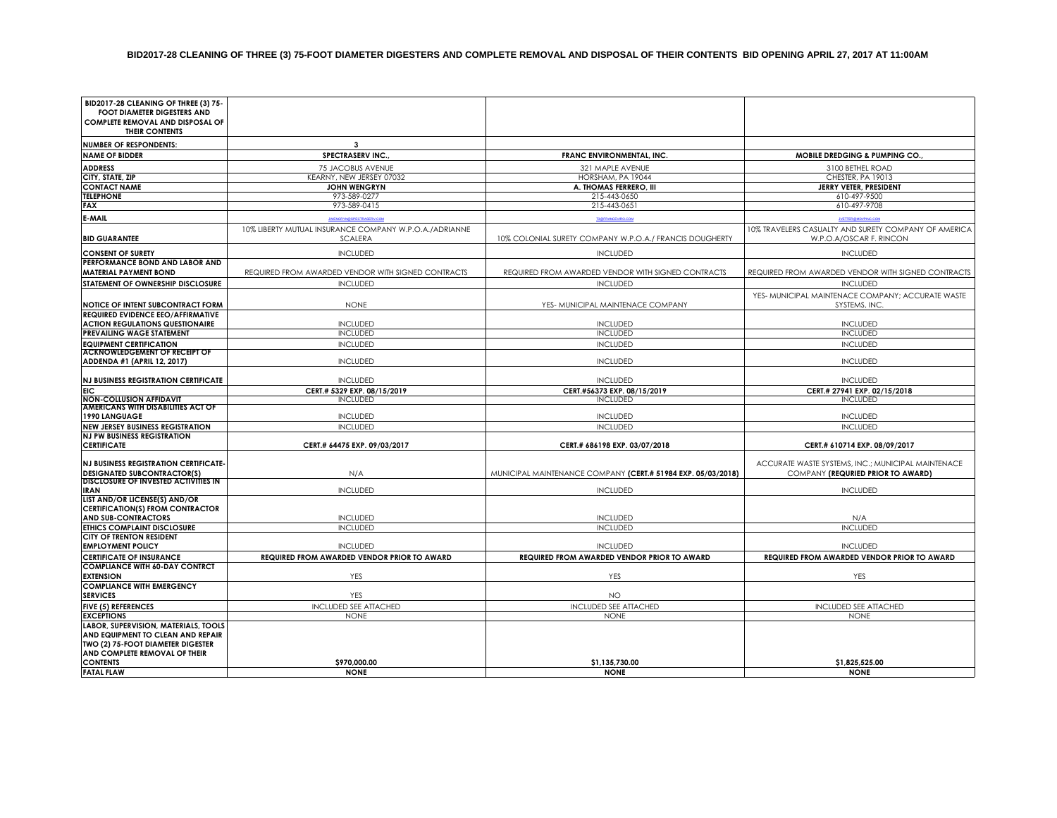| BID2017-28 CLEANING OF THREE (3) 75-<br><b>FOOT DIAMETER DIGESTERS AND</b><br><b>COMPLETE REMOVAL AND DISPOSAL OF</b><br>THEIR CONTENTS         |                                                                          |                                                              |                                                                                         |
|-------------------------------------------------------------------------------------------------------------------------------------------------|--------------------------------------------------------------------------|--------------------------------------------------------------|-----------------------------------------------------------------------------------------|
| <b>NUMBER OF RESPONDENTS:</b>                                                                                                                   | 3                                                                        |                                                              |                                                                                         |
| <b>NAME OF BIDDER</b>                                                                                                                           | SPECTRASERV INC.                                                         | FRANC ENVIRONMENTAL, INC.                                    | MOBILE DREDGING & PUMPING CO.                                                           |
| <b>ADDRESS</b>                                                                                                                                  | 75 JACOBUS AVENUE                                                        | 321 MAPLE AVENUE                                             | 3100 BETHEL ROAD                                                                        |
| CITY, STATE, ZIP                                                                                                                                | KEARNY, NEW JERSEY 07032                                                 | HORSHAM, PA 19044                                            | CHESTER, PA 19013                                                                       |
| <b>CONTACT NAME</b>                                                                                                                             | <b>JOHN WENGRYN</b>                                                      | A. THOMAS FERRERO, III                                       | JERRY VETER, PRESIDENT                                                                  |
| <b>TELEPHONE</b>                                                                                                                                | 973-589-0277                                                             | 215-443-0650                                                 | 610-497-9500                                                                            |
| <b>FAX</b>                                                                                                                                      | 973-589-0415                                                             | 215-443-0651                                                 | 610-497-9708                                                                            |
| E-MAIL                                                                                                                                          |                                                                          | TROFRANCEMED COM                                             |                                                                                         |
| <b>BID GUARANTEE</b>                                                                                                                            | 10% LIBERTY MUTUAL INSURANCE COMPANY W.P.O.A./ADRIANNE<br><b>SCALERA</b> | 10% COLONIAL SURETY COMPANY W.P.O.A./ FRANCIS DOUGHERTY      | 10% TRAVELERS CASUALTY AND SURETY COMPANY OF AMERICA<br>W.P.O.A/OSCAR F. RINCON         |
| <b>CONSENT OF SURETY</b>                                                                                                                        | <b>INCLUDED</b>                                                          | <b>INCLUDED</b>                                              | <b>INCLUDED</b>                                                                         |
| PERFORMANCE BOND AND LABOR AND<br><b>MATERIAL PAYMENT BOND</b>                                                                                  | REQUIRED FROM AWARDED VENDOR WITH SIGNED CONTRACTS                       | REQUIRED FROM AWARDED VENDOR WITH SIGNED CONTRACTS           | REQUIRED FROM AWARDED VENDOR WITH SIGNED CONTRACTS                                      |
| <b>STATEMENT OF OWNERSHIP DISCLOSURE</b>                                                                                                        | <b>INCLUDED</b>                                                          | <b>INCLUDED</b>                                              | <b>INCLUDED</b>                                                                         |
|                                                                                                                                                 |                                                                          |                                                              |                                                                                         |
| NOTICE OF INTENT SUBCONTRACT FORM                                                                                                               | <b>NONE</b>                                                              | YES- MUNICIPAL MAINTENACE COMPANY                            | YES- MUNICIPAL MAINTENACE COMPANY; ACCURATE WASTE<br>SYSTEMS, INC.                      |
| <b>REQUIRED EVIDENCE EEO/AFFIRMATIVE</b>                                                                                                        |                                                                          |                                                              |                                                                                         |
| <b>ACTION REGULATIONS QUESTIONAIRE</b>                                                                                                          | <b>INCLUDED</b>                                                          | <b>INCLUDED</b>                                              | <b>INCLUDED</b>                                                                         |
| <b>PREVAILING WAGE STATEMENT</b>                                                                                                                | <b>INCLUDED</b>                                                          | <b>INCLUDED</b>                                              | <b>INCLUDED</b>                                                                         |
| <b>EQUIPMENT CERTIFICATION</b>                                                                                                                  | <b>INCLUDED</b>                                                          | <b>INCLUDED</b>                                              | <b>INCLUDED</b>                                                                         |
| <b>ACKNOWLEDGEMENT OF RECEIPT OF</b><br><b>ADDENDA #1 (APRIL 12, 2017)</b>                                                                      | <b>INCLUDED</b>                                                          | <b>INCLUDED</b>                                              | <b>INCLUDED</b>                                                                         |
| <b>NJ BUSINESS REGISTRATION CERTIFICATE</b>                                                                                                     | <b>INCLUDED</b>                                                          | <b>INCLUDED</b>                                              | <b>INCLUDED</b>                                                                         |
| <b>EIC</b>                                                                                                                                      | CERT.# 5329 EXP. 08/15/2019                                              | CERT.#56373 EXP. 08/15/2019                                  | CERT.# 27941 EXP. 02/15/2018                                                            |
| <b>NON-COLLUSION AFFIDAVIT</b>                                                                                                                  | <b>INCLUDED</b>                                                          | <b>INCLUDED</b>                                              | <b>INCLUDED</b>                                                                         |
| <b>AMERICANS WITH DISABILITIES ACT OF</b>                                                                                                       |                                                                          |                                                              |                                                                                         |
| <b>1990 LANGUAGE</b>                                                                                                                            | <b>INCLUDED</b>                                                          | <b>INCLUDED</b>                                              | <b>INCLUDED</b>                                                                         |
| <b>NEW JERSEY BUSINESS REGISTRATION</b>                                                                                                         | <b>INCLUDED</b>                                                          | <b>INCLUDED</b>                                              | <b>INCLUDED</b>                                                                         |
| <b>NJ PW BUSINESS REGISTRATION</b><br><b>CERTIFICATE</b>                                                                                        | CERT.# 64475 EXP. 09/03/2017                                             | CERT.# 686198 EXP. 03/07/2018                                | CERT.# 610714 EXP. 08/09/2017                                                           |
| <b>NJ BUSINESS REGISTRATION CERTIFICATE-</b><br><b>DESIGNATED SUBCONTRACTOR(S)</b>                                                              | N/A                                                                      | MUNICIPAL MAINTENANCE COMPANY (CERT.# 51984 EXP. 05/03/2018) | ACCURATE WASTE SYSTEMS, INC.; MUNICIPAL MAINTENACE<br>COMPANY (REQURIED PRIOR TO AWARD) |
| <b>DISCLOSURE OF INVESTED ACTIVITIES IN</b>                                                                                                     |                                                                          |                                                              |                                                                                         |
| <b>IRAN</b><br>LIST AND/OR LICENSE(S) AND/OR                                                                                                    | <b>INCLUDED</b>                                                          | <b>INCLUDED</b>                                              | <b>INCLUDED</b>                                                                         |
| <b>CERTIFICATION(S) FROM CONTRACTOR</b>                                                                                                         |                                                                          |                                                              |                                                                                         |
| <b>AND SUB-CONTRACTORS</b>                                                                                                                      | <b>INCLUDED</b>                                                          | <b>INCLUDED</b>                                              | N/A                                                                                     |
| <b>ETHICS COMPLAINT DISCLOSURE</b>                                                                                                              | <b>INCLUDED</b>                                                          | <b>INCLUDED</b>                                              | <b>INCLUDED</b>                                                                         |
| CITY OF TRENTON RESIDENT<br><b>EMPLOYMENT POLICY</b>                                                                                            | <b>INCLUDED</b>                                                          | <b>INCLUDED</b>                                              | <b>INCLUDED</b>                                                                         |
| <b>CERTIFICATE OF INSURANCE</b>                                                                                                                 | <b>REQUIRED FROM AWARDED VENDOR PRIOR TO AWARD</b>                       | <b>REQUIRED FROM AWARDED VENDOR PRIOR TO AWARD</b>           | <b>REQUIRED FROM AWARDED VENDOR PRIOR TO AWARD</b>                                      |
| <b>COMPLIANCE WITH 60-DAY CONTRCT</b>                                                                                                           |                                                                          |                                                              |                                                                                         |
| <b>EXTENSION</b>                                                                                                                                | YES                                                                      | YES                                                          | YES                                                                                     |
| <b>COMPLIANCE WITH EMERGENCY</b><br><b>SERVICES</b>                                                                                             | YES                                                                      | <b>NO</b>                                                    |                                                                                         |
| <b>FIVE (5) REFERENCES</b>                                                                                                                      | <b>INCLUDED SEE ATTACHED</b>                                             | <b>INCLUDED SEE ATTACHED</b>                                 | <b>INCLUDED SEE ATTACHED</b>                                                            |
| <b>EXCEPTIONS</b>                                                                                                                               | <b>NONE</b>                                                              | <b>NONE</b>                                                  | <b>NONE</b>                                                                             |
| LABOR, SUPERVISION, MATERIALS, TOOLS<br>AND EQUIPMENT TO CLEAN AND REPAIR<br>TWO (2) 75-FOOT DIAMETER DIGESTER<br>AND COMPLETE REMOVAL OF THEIR |                                                                          |                                                              |                                                                                         |
| <b>CONTENTS</b><br><b>FATAL FLAW</b>                                                                                                            | \$970,000.00<br><b>NONE</b>                                              | \$1,135,730.00<br><b>NONE</b>                                | \$1.825.525.00<br><b>NONE</b>                                                           |
|                                                                                                                                                 |                                                                          |                                                              |                                                                                         |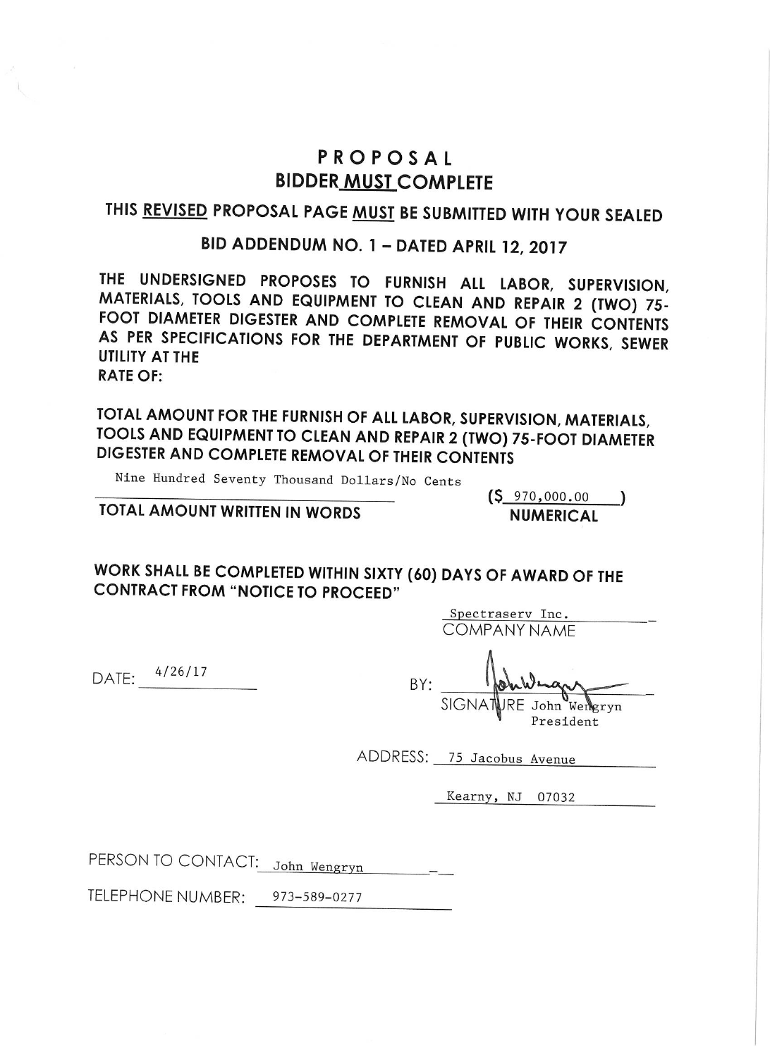### PROPOSAL **BIDDER MUST COMPLETE**

### THIS REVISED PROPOSAL PAGE MUST BE SUBMITTED WITH YOUR SEALED

### BID ADDENDUM NO. 1 - DATED APRIL 12, 2017

THE UNDERSIGNED PROPOSES TO FURNISH ALL LABOR, SUPERVISION, MATERIALS, TOOLS AND EQUIPMENT TO CLEAN AND REPAIR 2 (TWO) 75-FOOT DIAMETER DIGESTER AND COMPLETE REMOVAL OF THEIR CONTENTS AS PER SPECIFICATIONS FOR THE DEPARTMENT OF PUBLIC WORKS, SEWER **UTILITY AT THE RATE OF:** 

TOTAL AMOUNT FOR THE FURNISH OF ALL LABOR, SUPERVISION, MATERIALS, TOOLS AND EQUIPMENT TO CLEAN AND REPAIR 2 (TWO) 75-FOOT DIAMETER DIGESTER AND COMPLETE REMOVAL OF THEIR CONTENTS

Nine Hundred Seventy Thousand Dollars/No Cents

TOTAL AMOUNT WRITTEN IN WORDS

 $(S_{970,000.00})$ **NUMERICAL** 

WORK SHALL BE COMPLETED WITHIN SIXTY (60) DAYS OF AWARD OF THE **CONTRACT FROM "NOTICE TO PROCEED"** 

> Spectraserv Inc. **COMPANY NAME**

DATE: 4/26/17

 $\mathbbm{R}$ 

 $BY:$ 

ADDRESS: 75 Jacobus Avenue

Kearny, NJ 07032

PERSON TO CONTACT: John Wengryn

TELEPHONE NUMBER: 973-589-0277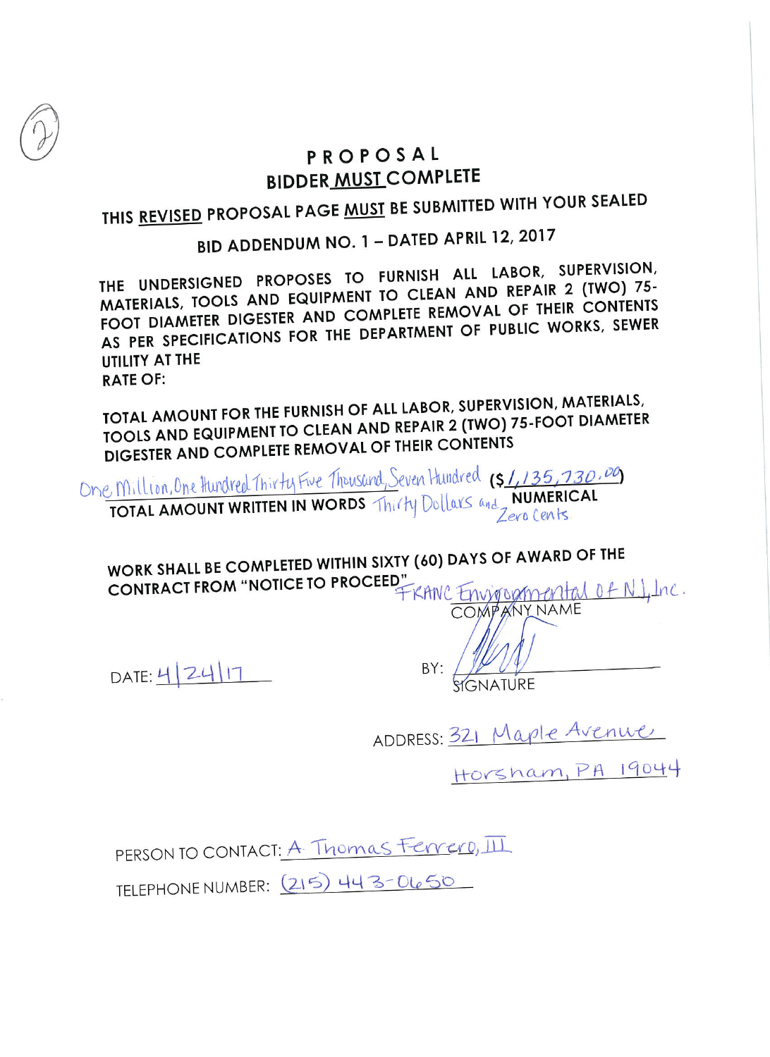## PROPOSAL **BIDDER MUST COMPLETE**

THIS REVISED PROPOSAL PAGE MUST BE SUBMITTED WITH YOUR SEALED

# BID ADDENDUM NO. 1 - DATED APRIL 12, 2017

THE UNDERSIGNED PROPOSES TO FURNISH ALL LABOR, SUPERVISION, MATERIALS, TOOLS AND EQUIPMENT TO CLEAN AND REPAIR 2 (TWO) 75-FOOT DIAMETER DIGESTER AND COMPLETE REMOVAL OF THEIR CONTENTS AS PER SPECIFICATIONS FOR THE DEPARTMENT OF PUBLIC WORKS, SEWER UTILITY AT THE **RATE OF:** 

TOTAL AMOUNT FOR THE FURNISH OF ALL LABOR, SUPERVISION, MATERIALS, TOOLS AND EQUIPMENT TO CLEAN AND REPAIR 2 (TWO) 75-FOOT DIAMETER DIGESTER AND COMPLETE REMOVAL OF THEIR CONTENTS

One Million, One Hundred Thirty Five Thousand, Seven Hundred (\$1,135,730.00)

WORK SHALL BE COMPLETED WITHIN SIXTY (60) DAYS OF AWARD OF THE WORK SHALL BE COMPLETED WITH STROCEED"<br>CONTRACT FROM "NOTICE TO PROCEED" FRANC ENVITORMENT NAME

DATE: 4 24 17

 $BY:$ 

ADDRESS: 321 Maple Avenue

Horsham, PA 19044

PERSON TO CONTACT: A. Thomas Ferrero, III

TELEPHONE NUMBER: (215) 443-0650